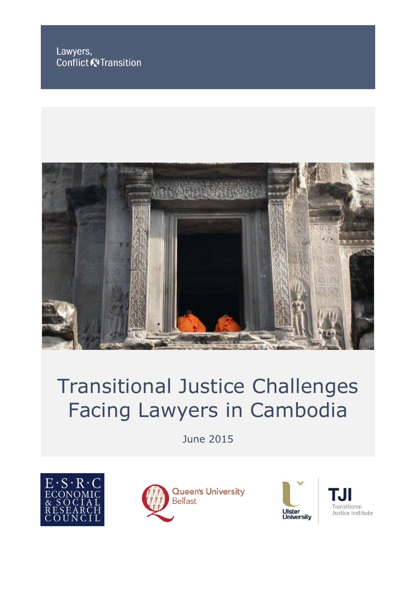Lawyers, Conflict & Transition



# Transitional Justice Challenges Facing Lawyers in Cambodia

June 2015







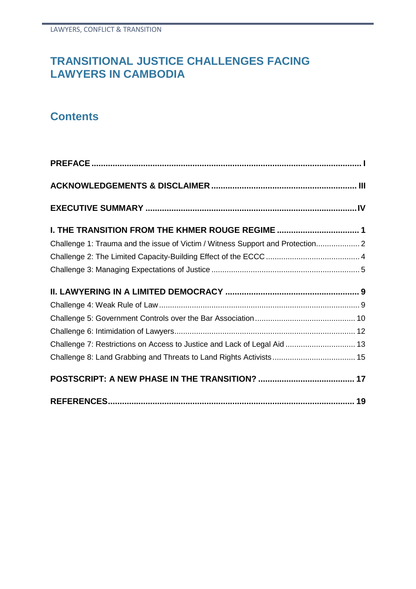# **TRANSITIONAL JUSTICE CHALLENGES FACING LAWYERS IN CAMBODIA**

# **Contents**

| I. THE TRANSITION FROM THE KHMER ROUGE REGIME  1                               |  |
|--------------------------------------------------------------------------------|--|
| Challenge 1: Trauma and the issue of Victim / Witness Support and Protection 2 |  |
|                                                                                |  |
|                                                                                |  |
|                                                                                |  |
|                                                                                |  |
|                                                                                |  |
|                                                                                |  |
|                                                                                |  |
| Challenge 7: Restrictions on Access to Justice and Lack of Legal Aid  13       |  |
|                                                                                |  |
|                                                                                |  |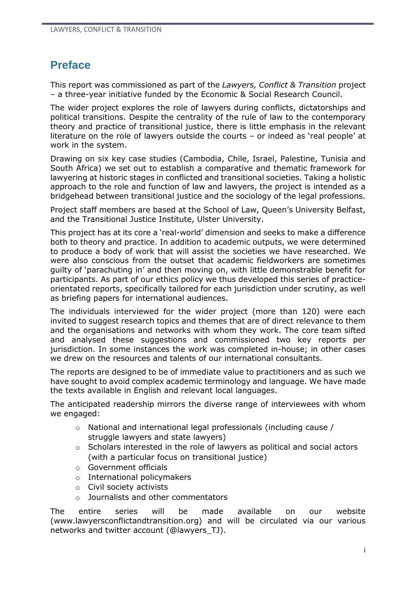## **Preface**

This report was commissioned as part of the *Lawyers, Conflict & Transition* project – a three-year initiative funded by the Economic & Social Research Council.

The wider project explores the role of lawyers during conflicts, dictatorships and political transitions. Despite the centrality of the rule of law to the contemporary theory and practice of transitional justice, there is little emphasis in the relevant literature on the role of lawyers outside the courts – or indeed as 'real people' at work in the system.

Drawing on six key case studies (Cambodia, Chile, Israel, Palestine, Tunisia and South Africa) we set out to establish a comparative and thematic framework for lawyering at historic stages in conflicted and transitional societies. Taking a holistic approach to the role and function of law and lawyers, the project is intended as a bridgehead between transitional justice and the sociology of the legal professions.

Project staff members are based at the School of Law, Queen's University Belfast, and the Transitional Justice Institute, Ulster University.

This project has at its core a 'real-world' dimension and seeks to make a difference both to theory and practice. In addition to academic outputs, we were determined to produce a body of work that will assist the societies we have researched. We were also conscious from the outset that academic fieldworkers are sometimes guilty of 'parachuting in' and then moving on, with little demonstrable benefit for participants. As part of our ethics policy we thus developed this series of practiceorientated reports, specifically tailored for each jurisdiction under scrutiny, as well as briefing papers for international audiences.

The individuals interviewed for the wider project (more than 120) were each invited to suggest research topics and themes that are of direct relevance to them and the organisations and networks with whom they work. The core team sifted and analysed these suggestions and commissioned two key reports per jurisdiction. In some instances the work was completed in-house; in other cases we drew on the resources and talents of our international consultants.

The reports are designed to be of immediate value to practitioners and as such we have sought to avoid complex academic terminology and language. We have made the texts available in English and relevant local languages.

The anticipated readership mirrors the diverse range of interviewees with whom we engaged:

- o National and international legal professionals (including cause / struggle lawyers and state lawyers)
- o Scholars interested in the role of lawyers as political and social actors (with a particular focus on transitional justice)
- o Government officials
- o International policymakers
- o Civil society activists
- o Journalists and other commentators

The entire series will be made available on our website (www.lawyersconflictandtransition.org) and will be circulated via our various networks and twitter account (@lawyers\_TJ).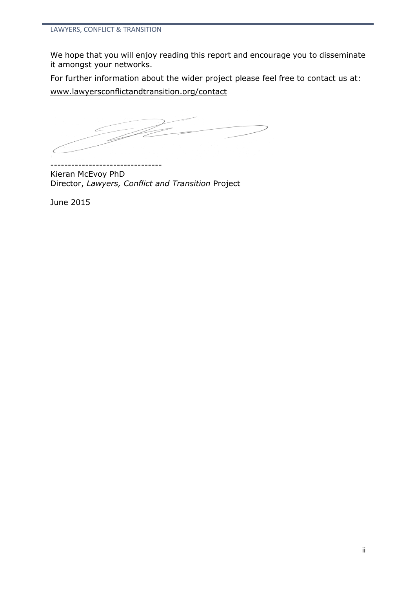We hope that you will enjoy reading this report and encourage you to disseminate it amongst your networks.

For further information about the wider project please feel free to contact us at:

[www.lawyersconflictandtransition.org/contact](http://www.lawyersconflictandtransition.org/contact)

--------------------------------

Kieran McEvoy PhD Director, *Lawyers, Conflict and Transition* Project

June 2015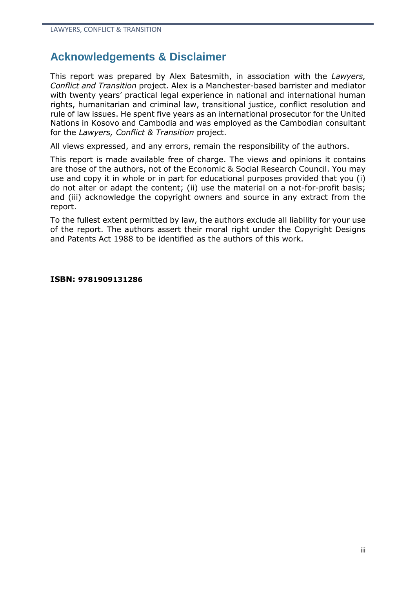# **Acknowledgements & Disclaimer**

This report was prepared by Alex Batesmith, in association with the *Lawyers, Conflict and Transition* project. Alex is a Manchester-based barrister and mediator with twenty years' practical legal experience in national and international human rights, humanitarian and criminal law, transitional justice, conflict resolution and rule of law issues. He spent five years as an international prosecutor for the United Nations in Kosovo and Cambodia and was employed as the Cambodian consultant for the *Lawyers, Conflict & Transition* project.

All views expressed, and any errors, remain the responsibility of the authors.

This report is made available free of charge. The views and opinions it contains are those of the authors, not of the Economic & Social Research Council. You may use and copy it in whole or in part for educational purposes provided that you (i) do not alter or adapt the content; (ii) use the material on a not-for-profit basis; and (iii) acknowledge the copyright owners and source in any extract from the report.

To the fullest extent permitted by law, the authors exclude all liability for your use of the report. The authors assert their moral right under the Copyright Designs and Patents Act 1988 to be identified as the authors of this work.

#### **ISBN: 9781909131286**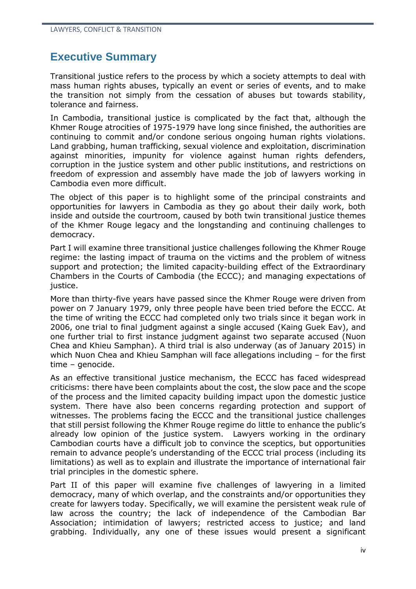## **Executive Summary**

Transitional justice refers to the process by which a society attempts to deal with mass human rights abuses, typically an event or series of events, and to make the transition not simply from the cessation of abuses but towards stability, tolerance and fairness.

In Cambodia, transitional justice is complicated by the fact that, although the Khmer Rouge atrocities of 1975-1979 have long since finished, the authorities are continuing to commit and/or condone serious ongoing human rights violations. Land grabbing, human trafficking, sexual violence and exploitation, discrimination against minorities, impunity for violence against human rights defenders, corruption in the justice system and other public institutions, and restrictions on freedom of expression and assembly have made the job of lawyers working in Cambodia even more difficult.

The object of this paper is to highlight some of the principal constraints and opportunities for lawyers in Cambodia as they go about their daily work, both inside and outside the courtroom, caused by both twin transitional justice themes of the Khmer Rouge legacy and the longstanding and continuing challenges to democracy.

Part I will examine three transitional justice challenges following the Khmer Rouge regime: the lasting impact of trauma on the victims and the problem of witness support and protection; the limited capacity-building effect of the Extraordinary Chambers in the Courts of Cambodia (the ECCC); and managing expectations of justice.

More than thirty-five years have passed since the Khmer Rouge were driven from power on 7 January 1979, only three people have been tried before the ECCC. At the time of writing the ECCC had completed only two trials since it began work in 2006, one trial to final judgment against a single accused (Kaing Guek Eav), and one further trial to first instance judgment against two separate accused (Nuon Chea and Khieu Samphan). A third trial is also underway (as of January 2015) in which Nuon Chea and Khieu Samphan will face allegations including – for the first time – genocide.

As an effective transitional justice mechanism, the ECCC has faced widespread criticisms: there have been complaints about the cost, the slow pace and the scope of the process and the limited capacity building impact upon the domestic justice system. There have also been concerns regarding protection and support of witnesses. The problems facing the ECCC and the transitional justice challenges that still persist following the Khmer Rouge regime do little to enhance the public's already low opinion of the justice system. Lawyers working in the ordinary Cambodian courts have a difficult job to convince the sceptics, but opportunities remain to advance people's understanding of the ECCC trial process (including its limitations) as well as to explain and illustrate the importance of international fair trial principles in the domestic sphere.

Part II of this paper will examine five challenges of lawyering in a limited democracy, many of which overlap, and the constraints and/or opportunities they create for lawyers today. Specifically, we will examine the persistent weak rule of law across the country; the lack of independence of the Cambodian Bar Association; intimidation of lawyers; restricted access to justice; and land grabbing. Individually, any one of these issues would present a significant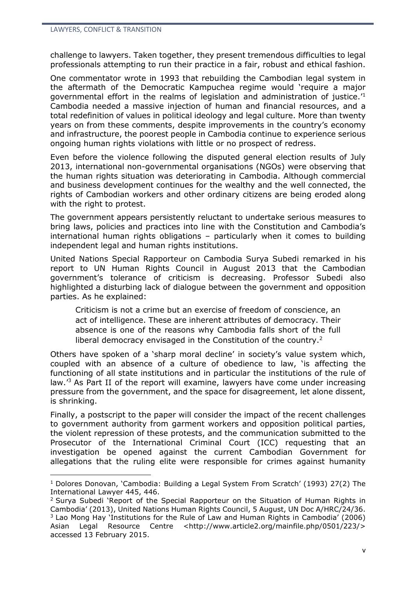challenge to lawyers. Taken together, they present tremendous difficulties to legal professionals attempting to run their practice in a fair, robust and ethical fashion.

One commentator wrote in 1993 that rebuilding the Cambodian legal system in the aftermath of the Democratic Kampuchea regime would 'require a major governmental effort in the realms of legislation and administration of justice.'<sup>1</sup> Cambodia needed a massive injection of human and financial resources, and a total redefinition of values in political ideology and legal culture. More than twenty years on from these comments, despite improvements in the country's economy and infrastructure, the poorest people in Cambodia continue to experience serious ongoing human rights violations with little or no prospect of redress.

Even before the violence following the disputed general election results of July 2013, international non-governmental organisations (NGOs) were observing that the human rights situation was deteriorating in Cambodia. Although commercial and business development continues for the wealthy and the well connected, the rights of Cambodian workers and other ordinary citizens are being eroded along with the right to protest.

The government appears persistently reluctant to undertake serious measures to bring laws, policies and practices into line with the Constitution and Cambodia's international human rights obligations – particularly when it comes to building independent legal and human rights institutions.

United Nations Special Rapporteur on Cambodia Surya Subedi remarked in his report to UN Human Rights Council in August 2013 that the Cambodian government's tolerance of criticism is decreasing. Professor Subedi also highlighted a disturbing lack of dialogue between the government and opposition parties. As he explained:

Criticism is not a crime but an exercise of freedom of conscience, an act of intelligence. These are inherent attributes of democracy. Their absence is one of the reasons why Cambodia falls short of the full liberal democracy envisaged in the Constitution of the country.<sup>2</sup>

Others have spoken of a 'sharp moral decline' in society's value system which, coupled with an absence of a culture of obedience to law, 'is affecting the functioning of all state institutions and in particular the institutions of the rule of law.'<sup>3</sup> As Part II of the report will examine, lawyers have come under increasing pressure from the government, and the space for disagreement, let alone dissent, is shrinking.

Finally, a postscript to the paper will consider the impact of the recent challenges to government authority from garment workers and opposition political parties, the violent repression of these protests, and the communication submitted to the Prosecutor of the International Criminal Court (ICC) requesting that an investigation be opened against the current Cambodian Government for allegations that the ruling elite were responsible for crimes against humanity

<sup>&</sup>lt;sup>1</sup> Dolores Donovan, 'Cambodia: Building a Legal System From Scratch' (1993) 27(2) The International Lawyer 445, 446.

 $2$  Surva Subedi 'Report of the Special Rapporteur on the Situation of Human Rights in Cambodia' (2013), United Nations Human Rights Council, 5 August, UN Doc A/HRC/24/36. <sup>3</sup> Lao Mong Hay 'Institutions for the Rule of Law and Human Rights in Cambodia' (2006) Asian Legal Resource Centre [<http://www.article2.org/mainfile.php/0501/223/>](http://www.article2.org/mainfile.php/0501/223/) accessed 13 February 2015.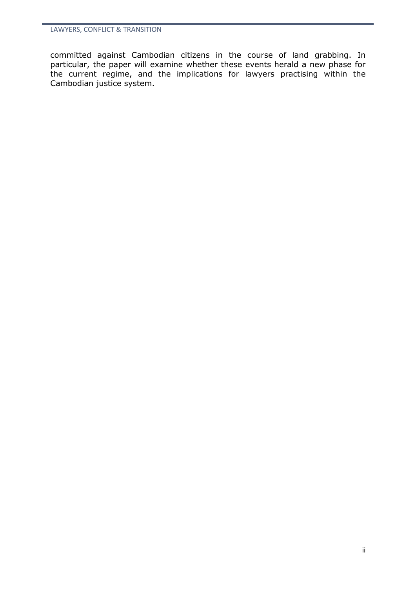committed against Cambodian citizens in the course of land grabbing. In particular, the paper will examine whether these events herald a new phase for the current regime, and the implications for lawyers practising within the Cambodian justice system.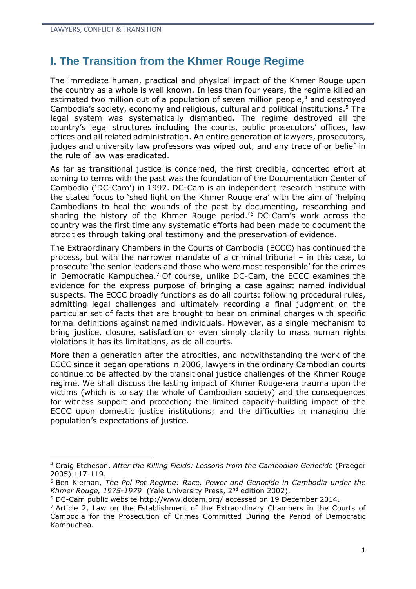## **I. The Transition from the Khmer Rouge Regime**

The immediate human, practical and physical impact of the Khmer Rouge upon the country as a whole is well known. In less than four years, the regime killed an estimated two million out of a population of seven million people,<sup>4</sup> and destroyed Cambodia's society, economy and religious, cultural and political institutions.<sup>5</sup> The legal system was systematically dismantled. The regime destroyed all the country's legal structures including the courts, public prosecutors' offices, law offices and all related administration. An entire generation of lawyers, prosecutors, judges and university law professors was wiped out, and any trace of or belief in the rule of law was eradicated.

As far as transitional justice is concerned, the first credible, concerted effort at coming to terms with the past was the foundation of the Documentation Center of Cambodia ('DC-Cam') in 1997. DC-Cam is an independent research institute with the stated focus to 'shed light on the Khmer Rouge era' with the aim of 'helping Cambodians to heal the wounds of the past by documenting, researching and sharing the history of the Khmer Rouge period.<sup>'6</sup> DC-Cam's work across the country was the first time any systematic efforts had been made to document the atrocities through taking oral testimony and the preservation of evidence.

The Extraordinary Chambers in the Courts of Cambodia (ECCC) has continued the process, but with the narrower mandate of a criminal tribunal – in this case, to prosecute 'the senior leaders and those who were most responsible' for the crimes in Democratic Kampuchea.<sup>7</sup> Of course, unlike DC-Cam, the ECCC examines the evidence for the express purpose of bringing a case against named individual suspects. The ECCC broadly functions as do all courts: following procedural rules, admitting legal challenges and ultimately recording a final judgment on the particular set of facts that are brought to bear on criminal charges with specific formal definitions against named individuals. However, as a single mechanism to bring justice, closure, satisfaction or even simply clarity to mass human rights violations it has its limitations, as do all courts.

More than a generation after the atrocities, and notwithstanding the work of the ECCC since it began operations in 2006, lawyers in the ordinary Cambodian courts continue to be affected by the transitional justice challenges of the Khmer Rouge regime. We shall discuss the lasting impact of Khmer Rouge-era trauma upon the victims (which is to say the whole of Cambodian society) and the consequences for witness support and protection; the limited capacity-building impact of the ECCC upon domestic justice institutions; and the difficulties in managing the population's expectations of justice.

<sup>4</sup> Craig Etcheson, *After the Killing Fields: Lessons from the Cambodian Genocide* (Praeger 2005) 117-119.

<sup>5</sup> Ben Kiernan, *The Pol Pot Regime: Race, Power and Genocide in Cambodia under the* Khmer Rouge, 1975-1979 (Yale University Press, 2<sup>nd</sup> edition 2002).

<sup>6</sup> DC-Cam public website <http://www.dccam.org/> accessed on 19 December 2014.

 $<sup>7</sup>$  Article 2, Law on the Establishment of the Extraordinary Chambers in the Courts of</sup> Cambodia for the Prosecution of Crimes Committed During the Period of Democratic Kampuchea.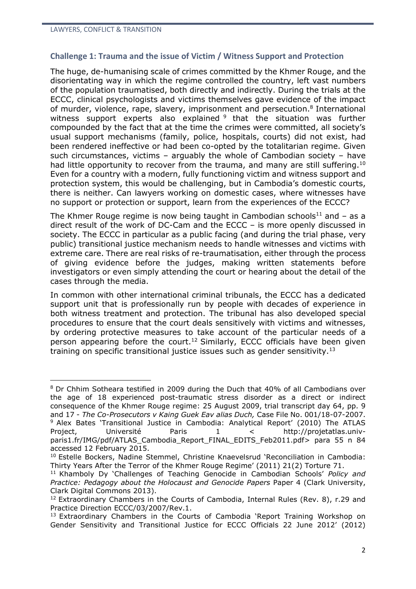#### **Challenge 1: Trauma and the issue of Victim / Witness Support and Protection**

The huge, de-humanising scale of crimes committed by the Khmer Rouge, and the disorientating way in which the regime controlled the country, left vast numbers of the population traumatised, both directly and indirectly. During the trials at the ECCC, clinical psychologists and victims themselves gave evidence of the impact of murder, violence, rape, slavery, imprisonment and persecution.<sup>8</sup> International witness support experts also explained <sup>9</sup> that the situation was further compounded by the fact that at the time the crimes were committed, all society's usual support mechanisms (family, police, hospitals, courts) did not exist, had been rendered ineffective or had been co-opted by the totalitarian regime. Given such circumstances, victims – arguably the whole of Cambodian society – have had little opportunity to recover from the trauma, and many are still suffering.<sup>10</sup> Even for a country with a modern, fully functioning victim and witness support and protection system, this would be challenging, but in Cambodia's domestic courts, there is neither. Can lawyers working on domestic cases, where witnesses have no support or protection or support, learn from the experiences of the ECCC?

The Khmer Rouge regime is now being taught in Cambodian schools<sup>11</sup> and  $-$  as a direct result of the work of DC-Cam and the ECCC – is more openly discussed in society. The ECCC in particular as a public facing (and during the trial phase, very public) transitional justice mechanism needs to handle witnesses and victims with extreme care. There are real risks of re-traumatisation, either through the process of giving evidence before the judges, making written statements before investigators or even simply attending the court or hearing about the detail of the cases through the media.

In common with other international criminal tribunals, the ECCC has a dedicated support unit that is professionally run by people with decades of experience in both witness treatment and protection. The tribunal has also developed special procedures to ensure that the court deals sensitively with victims and witnesses, by ordering protective measures to take account of the particular needs of a person appearing before the court.<sup>12</sup> Similarly, ECCC officials have been given training on specific transitional justice issues such as gender sensitivity.<sup>13</sup>

<sup>1</sup> <sup>8</sup> Dr Chhim Sotheara testified in 2009 during the Duch that 40% of all Cambodians over the age of 18 experienced post-traumatic stress disorder as a direct or indirect consequence of the Khmer Rouge regime: 25 August 2009, trial transcript day 64, pp. 9 and 17 - *The Co-Prosecutors v Kaing Guek Eav alias Duch,* Case File No. 001/18-07-2007. <sup>9</sup> Alex Bates 'Transitional Justice in Cambodia: Analytical Report' (2010) The ATLAS Project, Université Paris 1 < [http://projetatlas.univ](http://projetatlas.univ-paris1.fr/IMG/pdf/ATLAS_Cambodia_Report_FINAL_EDITS_Feb2011.pdf)[paris1.fr/IMG/pdf/ATLAS\\_Cambodia\\_Report\\_FINAL\\_EDITS\\_Feb2011.pdf>](http://projetatlas.univ-paris1.fr/IMG/pdf/ATLAS_Cambodia_Report_FINAL_EDITS_Feb2011.pdf)\_para 55 n 84 accessed 12 February 2015.

<sup>10</sup> Estelle Bockers, Nadine Stemmel, Christine Knaevelsrud 'Reconciliation in Cambodia: Thirty Years After the Terror of the Khmer Rouge Regime' (2011) 21(2) Torture 71.

<sup>11</sup> Khamboly Dy 'Challenges of Teaching Genocide in Cambodian Schools' *Policy and Practice: Pedagogy about the Holocaust and Genocide Papers* Paper 4 (Clark University, Clark Digital Commons 2013).

<sup>&</sup>lt;sup>12</sup> Extraordinary Chambers in the Courts of Cambodia, Internal Rules (Rev. 8), r.29 and Practice Direction ECCC/03/2007/Rev.1.

<sup>&</sup>lt;sup>13</sup> Extraordinary Chambers in the Courts of Cambodia 'Report Training Workshop on Gender Sensitivity and Transitional Justice for ECCC Officials 22 June 2012' (2012)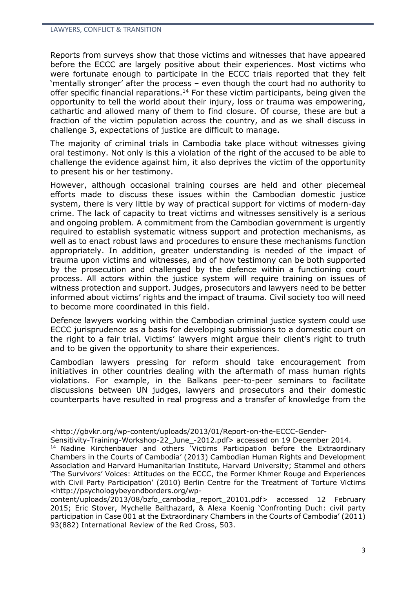Reports from surveys show that those victims and witnesses that have appeared before the ECCC are largely positive about their experiences. Most victims who were fortunate enough to participate in the ECCC trials reported that they felt 'mentally stronger' after the process – even though the court had no authority to offer specific financial reparations.<sup>14</sup> For these victim participants, being given the opportunity to tell the world about their injury, loss or trauma was empowering, cathartic and allowed many of them to find closure. Of course, these are but a fraction of the victim population across the country, and as we shall discuss in challenge 3, expectations of justice are difficult to manage.

The majority of criminal trials in Cambodia take place without witnesses giving oral testimony. Not only is this a violation of the right of the accused to be able to challenge the evidence against him, it also deprives the victim of the opportunity to present his or her testimony.

However, although occasional training courses are held and other piecemeal efforts made to discuss these issues within the Cambodian domestic justice system, there is very little by way of practical support for victims of modern-day crime. The lack of capacity to treat victims and witnesses sensitively is a serious and ongoing problem. A commitment from the Cambodian government is urgently required to establish systematic witness support and protection mechanisms, as well as to enact robust laws and procedures to ensure these mechanisms function appropriately. In addition, greater understanding is needed of the impact of trauma upon victims and witnesses, and of how testimony can be both supported by the prosecution and challenged by the defence within a functioning court process. All actors within the justice system will require training on issues of witness protection and support. Judges, prosecutors and lawyers need to be better informed about victims' rights and the impact of trauma. Civil society too will need to become more coordinated in this field.

Defence lawyers working within the Cambodian criminal justice system could use ECCC jurisprudence as a basis for developing submissions to a domestic court on the right to a fair trial. Victims' lawyers might argue their client's right to truth and to be given the opportunity to share their experiences.

Cambodian lawyers pressing for reform should take encouragement from initiatives in other countries dealing with the aftermath of mass human rights violations. For example, in the Balkans peer-to-peer seminars to facilitate discussions between UN judges, lawyers and prosecutors and their domestic counterparts have resulted in real progress and a transfer of knowledge from the

[<sup>&</sup>lt;http://gbvkr.org/wp-content/uploads/2013/01/Report-on-the-ECCC-Gender-](http://gbvkr.org/wp-content/uploads/2013/01/Report-on-the-ECCC-Gender-Sensitivity-Training-Workshop-22_June_-2012.pdf)

[Sensitivity-Training-Workshop-22\\_June\\_-2012.pdf>](http://gbvkr.org/wp-content/uploads/2013/01/Report-on-the-ECCC-Gender-Sensitivity-Training-Workshop-22_June_-2012.pdf) accessed on 19 December 2014. <sup>14</sup> Nadine Kirchenbauer and others 'Victims Participation before the Extraordinary Chambers in the Courts of Cambodia' (2013) Cambodian Human Rights and Development Association and Harvard Humanitarian Institute, Harvard University; Stammel and others 'The Survivors' Voices: Attitudes on the ECCC, the Former Khmer Rouge and Experiences with Civil Party Participation' (2010) Berlin Centre for the Treatment of Torture Victims [<http://psychologybeyondborders.org/wp-](http://psychologybeyondborders.org/wp-content/uploads/2013/08/bzfo_cambodia_report_20101.pdf)

[content/uploads/2013/08/bzfo\\_cambodia\\_report\\_20101.pdf>](http://psychologybeyondborders.org/wp-content/uploads/2013/08/bzfo_cambodia_report_20101.pdf) accessed 12 February 2015; Eric Stover, Mychelle Balthazard, & Alexa Koenig 'Confronting Duch: civil party participation in Case 001 at the Extraordinary Chambers in the Courts of Cambodia' (2011) 93(882) International Review of the Red Cross, 503.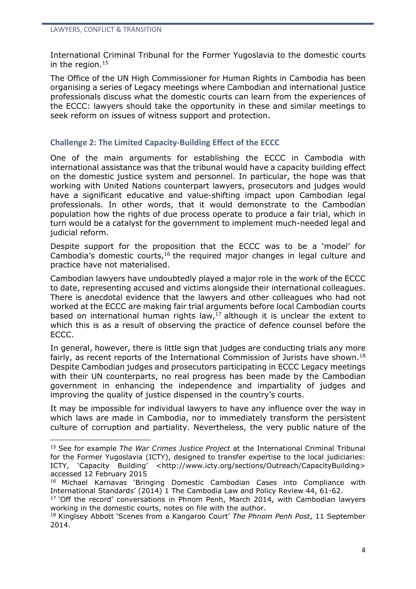International Criminal Tribunal for the Former Yugoslavia to the domestic courts in the region. $15$ 

The Office of the UN High Commissioner for Human Rights in Cambodia has been organising a series of Legacy meetings where Cambodian and international justice professionals discuss what the domestic courts can learn from the experiences of the ECCC: lawyers should take the opportunity in these and similar meetings to seek reform on issues of witness support and protection.

## **Challenge 2: The Limited Capacity-Building Effect of the ECCC**

One of the main arguments for establishing the ECCC in Cambodia with international assistance was that the tribunal would have a capacity building effect on the domestic justice system and personnel. In particular, the hope was that working with United Nations counterpart lawyers, prosecutors and judges would have a significant educative and value-shifting impact upon Cambodian legal professionals. In other words, that it would demonstrate to the Cambodian population how the rights of due process operate to produce a fair trial, which in turn would be a catalyst for the government to implement much-needed legal and judicial reform.

Despite support for the proposition that the ECCC was to be a 'model' for Cambodia's domestic courts,<sup>16</sup> the required major changes in legal culture and practice have not materialised.

Cambodian lawyers have undoubtedly played a major role in the work of the ECCC to date, representing accused and victims alongside their international colleagues. There is anecdotal evidence that the lawyers and other colleagues who had not worked at the ECCC are making fair trial arguments before local Cambodian courts based on international human rights law, $^{17}$  although it is unclear the extent to which this is as a result of observing the practice of defence counsel before the ECCC.

In general, however, there is little sign that judges are conducting trials any more fairly, as recent reports of the International Commission of Jurists have shown.<sup>18</sup> Despite Cambodian judges and prosecutors participating in ECCC Legacy meetings with their UN counterparts, no real progress has been made by the Cambodian government in enhancing the independence and impartiality of judges and improving the quality of justice dispensed in the country's courts.

It may be impossible for individual lawyers to have any influence over the way in which laws are made in Cambodia, nor to immediately transform the persistent culture of corruption and partiality. Nevertheless, the very public nature of the

<sup>15</sup> See for example *The War Crimes Justice Project* at the International Criminal Tribunal for the Former Yugoslavia (ICTY), designed to transfer expertise to the local judiciaries: ICTY, 'Capacity Building' <http://www.icty.org/sections/Outreach/CapacityBuilding> accessed 12 February 2015

<sup>16</sup> Michael Karnavas 'Bringing Domestic Cambodian Cases into Compliance with International Standards' (2014) 1 The Cambodia Law and Policy Review 44, 61-62.

 $17$  'Off the record' conversations in Phnom Penh, March 2014, with Cambodian lawyers working in the domestic courts, notes on file with the author.

<sup>18</sup> Kinglsey Abbott 'Scenes from a Kangaroo Court' *The Phnom Penh Post*, 11 September 2014.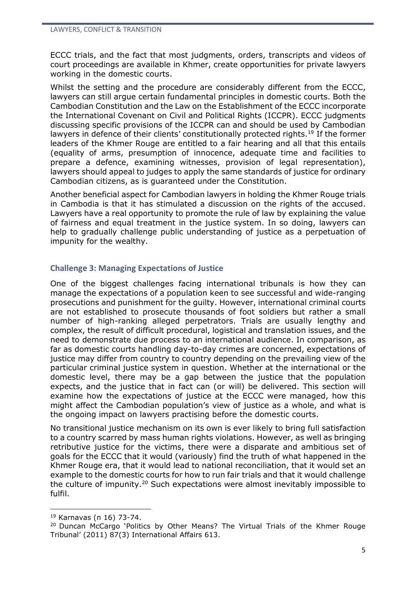ECCC trials, and the fact that most judgments, orders, transcripts and videos of court proceedings are available in Khmer, create opportunities for private lawyers working in the domestic courts.

Whilst the setting and the procedure are considerably different from the ECCC, lawyers can still argue certain fundamental principles in domestic courts. Both the Cambodian Constitution and the Law on the Establishment of the ECCC incorporate the International Covenant on Civil and Political Rights (ICCPR). ECCC judgments discussing specific provisions of the ICCPR can and should be used by Cambodian lawyers in defence of their clients' constitutionally protected rights.<sup>19</sup> If the former leaders of the Khmer Rouge are entitled to a fair hearing and all that this entails (equality of arms, presumption of innocence, adequate time and facilities to prepare a defence, examining witnesses, provision of legal representation), lawyers should appeal to judges to apply the same standards of justice for ordinary Cambodian citizens, as is guaranteed under the Constitution.

Another beneficial aspect for Cambodian lawyers in holding the Khmer Rouge trials in Cambodia is that it has stimulated a discussion on the rights of the accused. Lawyers have a real opportunity to promote the rule of law by explaining the value of fairness and equal treatment in the justice system. In so doing, lawyers can help to gradually challenge public understanding of justice as a perpetuation of impunity for the wealthy.

## **Challenge 3: Managing Expectations of Justice**

One of the biggest challenges facing international tribunals is how they can manage the expectations of a population keen to see successful and wide-ranging prosecutions and punishment for the guilty. However, international criminal courts are not established to prosecute thousands of foot soldiers but rather a small number of high-ranking alleged perpetrators. Trials are usually lengthy and complex, the result of difficult procedural, logistical and translation issues, and the need to demonstrate due process to an international audience. In comparison, as far as domestic courts handling day-to-day crimes are concerned, expectations of justice may differ from country to country depending on the prevailing view of the particular criminal justice system in question. Whether at the international or the domestic level, there may be a gap between the justice that the population expects, and the justice that in fact can (or will) be delivered. This section will examine how the expectations of justice at the ECCC were managed, how this might affect the Cambodian population's view of justice as a whole, and what is the ongoing impact on lawyers practising before the domestic courts.

No transitional justice mechanism on its own is ever likely to bring full satisfaction to a country scarred by mass human rights violations. However, as well as bringing retributive justice for the victims, there were a disparate and ambitious set of goals for the ECCC that it would (variously) find the truth of what happened in the Khmer Rouge era, that it would lead to national reconciliation, that it would set an example to the domestic courts for how to run fair trials and that it would challenge the culture of impunity.<sup>20</sup> Such expectations were almost inevitably impossible to fulfil.

<u>.</u>

<sup>19</sup> Karnavas (n 16) 73-74.

<sup>&</sup>lt;sup>20</sup> Duncan McCargo 'Politics by Other Means? The Virtual Trials of the Khmer Rouge Tribunal' (2011) 87(3) International Affairs 613.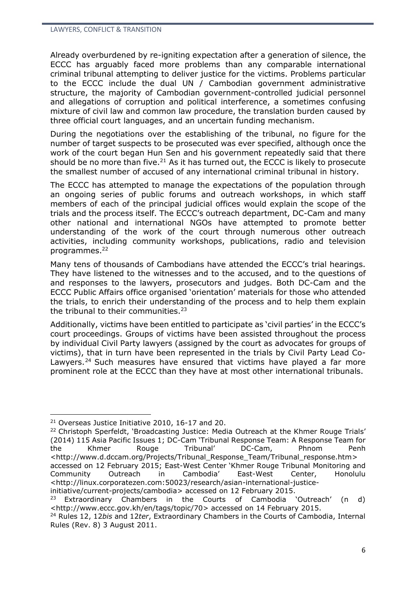Already overburdened by re-igniting expectation after a generation of silence, the ECCC has arguably faced more problems than any comparable international criminal tribunal attempting to deliver justice for the victims. Problems particular to the ECCC include the dual UN / Cambodian government administrative structure, the majority of Cambodian government-controlled judicial personnel and allegations of corruption and political interference, a sometimes confusing mixture of civil law and common law procedure, the translation burden caused by three official court languages, and an uncertain funding mechanism.

During the negotiations over the establishing of the tribunal, no figure for the number of target suspects to be prosecuted was ever specified, although once the work of the court began Hun Sen and his government repeatedly said that there should be no more than five. $21$  As it has turned out, the ECCC is likely to prosecute the smallest number of accused of any international criminal tribunal in history.

The ECCC has attempted to manage the expectations of the population through an ongoing series of public forums and outreach workshops, in which staff members of each of the principal judicial offices would explain the scope of the trials and the process itself. The ECCC's outreach department, DC-Cam and many other national and international NGOs have attempted to promote better understanding of the work of the court through numerous other outreach activities, including community workshops, publications, radio and television programmes. 22

Many tens of thousands of Cambodians have attended the ECCC's trial hearings. They have listened to the witnesses and to the accused, and to the questions of and responses to the lawyers, prosecutors and judges. Both DC-Cam and the ECCC Public Affairs office organised 'orientation' materials for those who attended the trials, to enrich their understanding of the process and to help them explain the tribunal to their communities. $23$ 

Additionally, victims have been entitled to participate as 'civil parties' in the ECCC's court proceedings. Groups of victims have been assisted throughout the process by individual Civil Party lawyers (assigned by the court as advocates for groups of victims), that in turn have been represented in the trials by Civil Party Lead Co-Lawyers.<sup>24</sup> Such measures have ensured that victims have played a far more prominent role at the ECCC than they have at most other international tribunals.

<u>.</u>

[initiative/current-projects/cambodia>](http://linux.corporatezen.com:50023/research/asian-international-justice-initiative/current-projects/cambodia) accessed on 12 February 2015.

<sup>&</sup>lt;sup>21</sup> Overseas Justice Initiative 2010, 16-17 and 20.

<sup>&</sup>lt;sup>22</sup> Christoph Sperfeldt, 'Broadcasting Justice: Media Outreach at the Khmer Rouge Trials' (2014) 115 Asia Pacific Issues 1; DC-Cam 'Tribunal Response Team: A Response Team for the Khmer Rouge Tribunal' DC-Cam, Phnom Penh [<http://www.d.dccam.org/Projects/Tribunal\\_Response\\_Team/Tribunal\\_response.htm>](http://www.d.dccam.org/Projects/Tribunal_Response_Team/Tribunal_response.htm) accessed on 12 February 2015; East-West Center 'Khmer Rouge Tribunal Monitoring and Community Outreach in Cambodia' East-West Center, Honolulu [<http://linux.corporatezen.com:50023/research/asian-international-justice-](http://linux.corporatezen.com:50023/research/asian-international-justice-initiative/current-projects/cambodia)

 $23$  Extraordinary Chambers in the Courts of Cambodia 'Outreach' (n d) [<http://www.eccc.gov.kh/en/tags/topic/70>](http://www.eccc.gov.kh/en/tags/topic/70) accessed on 14 February 2015.

<sup>24</sup> Rules 12, 12*bis* and 12*ter*, Extraordinary Chambers in the Courts of Cambodia, Internal Rules (Rev. 8) 3 August 2011.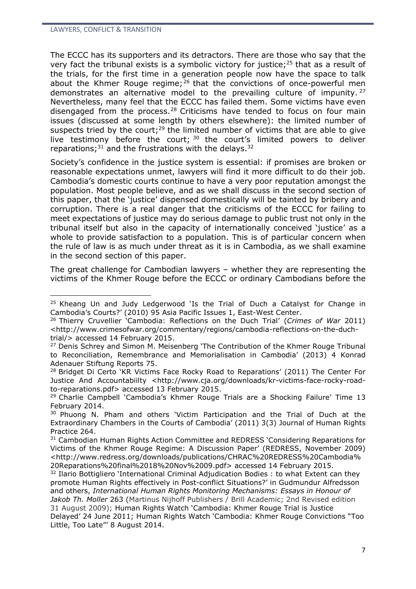<u>.</u>

The ECCC has its supporters and its detractors. There are those who say that the very fact the tribunal exists is a symbolic victory for justice; $25$  that as a result of the trials, for the first time in a generation people now have the space to talk about the Khmer Rouge regime;  $26$  that the convictions of once-powerful men demonstrates an alternative model to the prevailing culture of impunity. <sup>27</sup> Nevertheless, many feel that the ECCC has failed them. Some victims have even disengaged from the process.<sup>28</sup> Criticisms have tended to focus on four main issues (discussed at some length by others elsewhere): the limited number of suspects tried by the court;<sup>29</sup> the limited number of victims that are able to give live testimony before the court;  $30$  the court's limited powers to deliver reparations; $31$  and the frustrations with the delays.  $32$ 

Society's confidence in the justice system is essential: if promises are broken or reasonable expectations unmet, lawyers will find it more difficult to do their job. Cambodia's domestic courts continue to have a very poor reputation amongst the population. Most people believe, and as we shall discuss in the second section of this paper, that the 'justice' dispensed domestically will be tainted by bribery and corruption. There is a real danger that the criticisms of the ECCC for failing to meet expectations of justice may do serious damage to public trust not only in the tribunal itself but also in the capacity of internationally conceived 'justice' as a whole to provide satisfaction to a population. This is of particular concern when the rule of law is as much under threat as it is in Cambodia, as we shall examine in the second section of this paper.

The great challenge for Cambodian lawyers – whether they are representing the victims of the Khmer Rouge before the ECCC or ordinary Cambodians before the

 $25$  Kheang Un and Judy Ledgerwood 'Is the Trial of Duch a Catalyst for Change in Cambodia's Courts?' (2010) 95 Asia Pacific Issues 1, East-West Center.

<sup>26</sup> Thierry Cruvellier 'Cambodia: Reflections on the Duch Trial' (*Crimes of War* 2011) <http://www.crimesofwar.org/commentary/regions/cambodia-reflections-on-the-duchtrial/> accessed 14 February 2015.

<sup>&</sup>lt;sup>27</sup> Denis Schrey and Simon M. Meisenberg 'The Contribution of the Khmer Rouge Tribunal to Reconciliation, Remembrance and Memorialisation in Cambodia' (2013) 4 Konrad Adenauer Stiftung Reports 75.

<sup>&</sup>lt;sup>28</sup> Bridget Di Certo 'KR Victims Face Rocky Road to Reparations' (2011) The Center For Justice And Accountabiilty [<http://www.cja.org/downloads/kr-victims-face-rocky-road](http://www.cja.org/downloads/kr-victims-face-rocky-road-to-reparations.pdf)[to-reparations.pdf>](http://www.cja.org/downloads/kr-victims-face-rocky-road-to-reparations.pdf) accessed 13 February 2015.

<sup>&</sup>lt;sup>29</sup> Charlie Campbell 'Cambodia's Khmer Rouge Trials are a Shocking Failure' Time 13 February 2014.

<sup>30</sup> Phuong N. Pham and others 'Victim Participation and the Trial of Duch at the Extraordinary Chambers in the Courts of Cambodia' (2011) 3(3) Journal of Human Rights Practice 264.

<sup>&</sup>lt;sup>31</sup> Cambodian Human Rights Action Committee and REDRESS 'Considering Reparations for Victims of the Khmer Rouge Regime: A Discussion Paper' (REDRESS, November 2009) <http://www.redress.org/downloads/publications/CHRAC%20REDRESS%20Cambodia% 20Reparations%20final%2018%20Nov%2009.pdf> accessed 14 February 2015.

<sup>&</sup>lt;sup>32</sup> Ilario Bottigliero 'International Criminal Adjudication Bodies : to what Extent can they promote Human Rights effectively in Post-conflict Situations?' in Gudmundur Alfredsson and others, *International Human Rights Monitoring Mechanisms: Essays in Honour of Jakob Th. Moller* 263 (Martinus Nijhoff Publishers / Brill Academic; 2nd Revised edition 31 August 2009); Human Rights Watch 'Cambodia: Khmer Rouge Trial is Justice Delayed' 24 June 2011; Human Rights Watch 'Cambodia: Khmer Rouge Convictions "Too Little, Too Late"' 8 August 2014.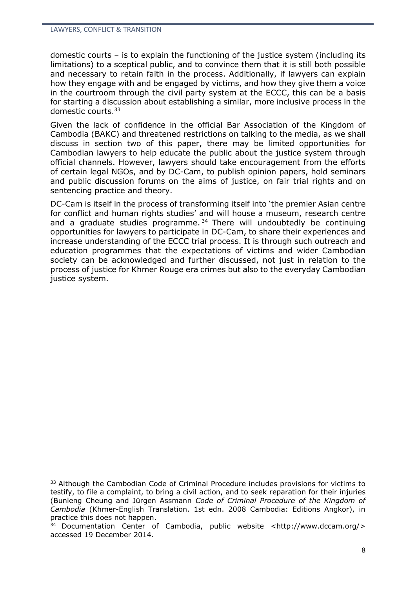domestic courts – is to explain the functioning of the justice system (including its limitations) to a sceptical public, and to convince them that it is still both possible and necessary to retain faith in the process. Additionally, if lawyers can explain how they engage with and be engaged by victims, and how they give them a voice in the courtroom through the civil party system at the ECCC, this can be a basis for starting a discussion about establishing a similar, more inclusive process in the domestic courts.<sup>33</sup>

Given the lack of confidence in the official Bar Association of the Kingdom of Cambodia (BAKC) and threatened restrictions on talking to the media, as we shall discuss in section two of this paper, there may be limited opportunities for Cambodian lawyers to help educate the public about the justice system through official channels. However, lawyers should take encouragement from the efforts of certain legal NGOs, and by DC-Cam, to publish opinion papers, hold seminars and public discussion forums on the aims of justice, on fair trial rights and on sentencing practice and theory.

DC-Cam is itself in the process of transforming itself into 'the premier Asian centre for conflict and human rights studies' and will house a museum, research centre and a graduate studies programme.  $34$  There will undoubtedly be continuing opportunities for lawyers to participate in DC-Cam, to share their experiences and increase understanding of the ECCC trial process. It is through such outreach and education programmes that the expectations of victims and wider Cambodian society can be acknowledged and further discussed, not just in relation to the process of justice for Khmer Rouge era crimes but also to the everyday Cambodian justice system.

<sup>&</sup>lt;sup>33</sup> Although the Cambodian Code of Criminal Procedure includes provisions for victims to testify, to file a complaint, to bring a civil action, and to seek reparation for their injuries (Bunleng Cheung and Jürgen Assmann *Code of Criminal Procedure of the Kingdom of Cambodia* (Khmer-English Translation. 1st edn. 2008 Cambodia: Editions Angkor), in practice this does not happen.

 $34$  Documentation Center of Cambodia, public website [<http://www.dccam.org/>](http://www.dccam.org/) accessed 19 December 2014.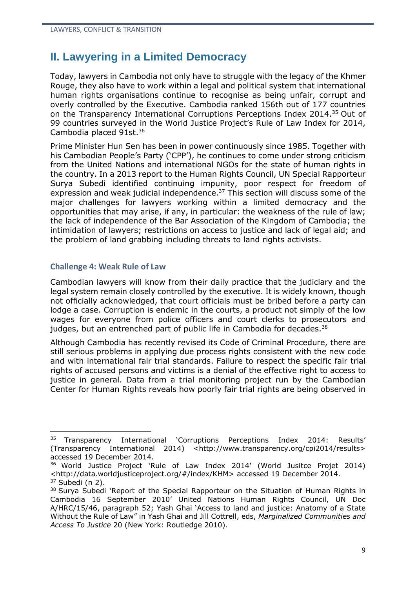## **II. Lawyering in a Limited Democracy**

Today, lawyers in Cambodia not only have to struggle with the legacy of the Khmer Rouge, they also have to work within a legal and political system that international human rights organisations continue to recognise as being unfair, corrupt and overly controlled by the Executive. Cambodia ranked 156th out of 177 countries on the Transparency International Corruptions Perceptions Index 2014. <sup>35</sup> Out of 99 countries surveyed in the World Justice Project's Rule of Law Index for 2014, Cambodia placed 91st.<sup>36</sup>

Prime Minister Hun Sen has been in power continuously since 1985. Together with his Cambodian People's Party ('CPP'), he continues to come under strong criticism from the United Nations and international NGOs for the state of human rights in the country. In a 2013 report to the Human Rights Council, UN Special Rapporteur Surya Subedi identified continuing impunity, poor respect for freedom of expression and weak judicial independence.<sup>37</sup> This section will discuss some of the major challenges for lawyers working within a limited democracy and the opportunities that may arise, if any, in particular: the weakness of the rule of law; the lack of independence of the Bar Association of the Kingdom of Cambodia; the intimidation of lawyers; restrictions on access to justice and lack of legal aid; and the problem of land grabbing including threats to land rights activists.

#### **Challenge 4: Weak Rule of Law**

<u>.</u>

Cambodian lawyers will know from their daily practice that the judiciary and the legal system remain closely controlled by the executive. It is widely known, though not officially acknowledged, that court officials must be bribed before a party can lodge a case. Corruption is endemic in the courts, a product not simply of the low wages for everyone from police officers and court clerks to prosecutors and judges, but an entrenched part of public life in Cambodia for decades. $38$ 

Although Cambodia has recently revised its Code of Criminal Procedure, there are still serious problems in applying due process rights consistent with the new code and with international fair trial standards. Failure to respect the specific fair trial rights of accused persons and victims is a denial of the effective right to access to justice in general. Data from a trial monitoring project run by the Cambodian Center for Human Rights reveals how poorly fair trial rights are being observed in

<sup>&</sup>lt;sup>35</sup> Transparency International 'Corruptions Perceptions Index 2014: Results' (Transparency International 2014) <http://www.transparency.org/cpi2014/results> accessed 19 December 2014.

<sup>36</sup> World Justice Project 'Rule of Law Index 2014' (World Jusitce Projet 2014) <http://data.worldjusticeproject.org/#/index/KHM> accessed 19 December 2014.  $37$  Subedi (n 2).

<sup>&</sup>lt;sup>38</sup> Surya Subedi 'Report of the Special Rapporteur on the Situation of Human Rights in Cambodia 16 September 2010' United Nations Human Rights Council, UN Doc A/HRC/15/46, paragraph 52; Yash Ghai 'Access to land and justice: Anatomy of a State Without the Rule of Law" in Yash Ghai and Jill Cottrell, eds, *Marginalized Communities and Access To Justice* 20 (New York: Routledge 2010).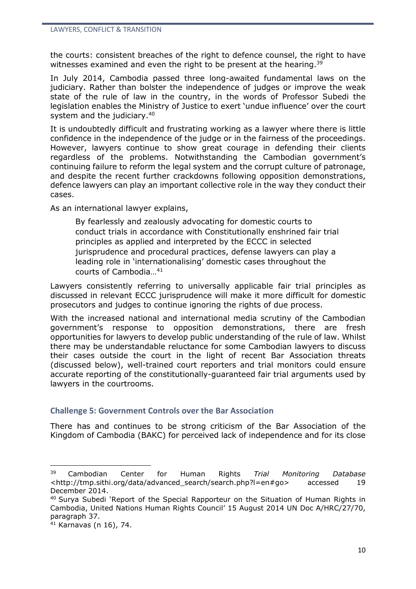the courts: consistent breaches of the right to defence counsel, the right to have witnesses examined and even the right to be present at the hearing.<sup>39</sup>

In July 2014, Cambodia passed three long-awaited fundamental laws on the judiciary. Rather than bolster the independence of judges or improve the weak state of the rule of law in the country, in the words of Professor Subedi the legislation enables the Ministry of Justice to exert 'undue influence' over the court system and the judiciary.<sup>40</sup>

It is undoubtedly difficult and frustrating working as a lawyer where there is little confidence in the independence of the judge or in the fairness of the proceedings. However, lawyers continue to show great courage in defending their clients regardless of the problems. Notwithstanding the Cambodian government's continuing failure to reform the legal system and the corrupt culture of patronage, and despite the recent further crackdowns following opposition demonstrations, defence lawyers can play an important collective role in the way they conduct their cases.

As an international lawyer explains,

By fearlessly and zealously advocating for domestic courts to conduct trials in accordance with Constitutionally enshrined fair trial principles as applied and interpreted by the ECCC in selected jurisprudence and procedural practices, defense lawyers can play a leading role in 'internationalising' domestic cases throughout the courts of Cambodia…<sup>41</sup>

Lawyers consistently referring to universally applicable fair trial principles as discussed in relevant ECCC jurisprudence will make it more difficult for domestic prosecutors and judges to continue ignoring the rights of due process.

With the increased national and international media scrutiny of the Cambodian government's response to opposition demonstrations, there are fresh opportunities for lawyers to develop public understanding of the rule of law. Whilst there may be understandable reluctance for some Cambodian lawyers to discuss their cases outside the court in the light of recent Bar Association threats (discussed below), well-trained court reporters and trial monitors could ensure accurate reporting of the constitutionally-guaranteed fair trial arguments used by lawyers in the courtrooms.

#### **Challenge 5: Government Controls over the Bar Association**

There has and continues to be strong criticism of the Bar Association of the Kingdom of Cambodia (BAKC) for perceived lack of independence and for its close

<sup>39</sup> Cambodian Center for Human Rights *Trial Monitoring Database* <http://tmp.sithi.org/data/advanced\_search/search.php?l=en#go> accessed 19 December 2014.

<sup>40</sup> Surya Subedi 'Report of the Special Rapporteur on the Situation of Human Rights in Cambodia, United Nations Human Rights Council' 15 August 2014 UN Doc A/HRC/27/70, paragraph 37.

<sup>41</sup> Karnavas (n 16), 74.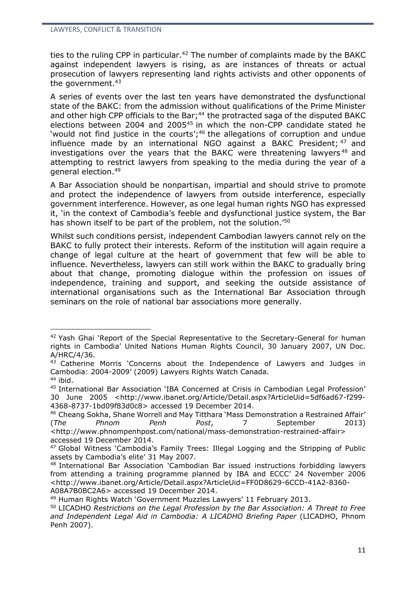ties to the ruling CPP in particular.<sup>42</sup> The number of complaints made by the BAKC against independent lawyers is rising, as are instances of threats or actual prosecution of lawyers representing land rights activists and other opponents of the government.<sup>43</sup>

A series of events over the last ten years have demonstrated the dysfunctional state of the BAKC: from the admission without qualifications of the Prime Minister and other high CPP officials to the Bar;<sup>44</sup> the protracted saga of the disputed BAKC elections between 2004 and 2005<sup>45</sup> in which the non-CPP candidate stated he 'would not find justice in the courts';<sup>46</sup> the allegations of corruption and undue influence made by an international NGO against a BAKC President; <sup>47</sup> and investigations over the years that the BAKC were threatening lawyers<sup>48</sup> and attempting to restrict lawyers from speaking to the media during the year of a general election.<sup>49</sup>

A Bar Association should be nonpartisan, impartial and should strive to promote and protect the independence of lawyers from outside interference, especially government interference. However, as one legal human rights NGO has expressed it, 'in the context of Cambodia's feeble and dysfunctional justice system, the Bar has shown itself to be part of the problem, not the solution.<sup>'50</sup>

Whilst such conditions persist, independent Cambodian lawyers cannot rely on the BAKC to fully protect their interests. Reform of the institution will again require a change of legal culture at the heart of government that few will be able to influence. Nevertheless, lawyers can still work within the BAKC to gradually bring about that change, promoting dialogue within the profession on issues of independence, training and support, and seeking the outside assistance of international organisations such as the International Bar Association through seminars on the role of national bar associations more generally.

<sup>&</sup>lt;sup>42</sup> Yash Ghai 'Report of the Special Representative to the Secretary-General for human rights in Cambodia' United Nations Human Rights Council, 30 January 2007, UN Doc. A/HRC/4/36.

<sup>&</sup>lt;sup>43</sup> Catherine Morris 'Concerns about the Independence of Lawyers and Judges in Cambodia: 2004-2009' (2009) Lawyers Rights Watch Canada.

<sup>44</sup> ibid.

<sup>45</sup> International Bar Association 'IBA Concerned at Crisis in Cambodian Legal Profession' 30 June 2005 <http://www.ibanet.org/Article/Detail.aspx?ArticleUid=5df6ad67-f299- 4368-8737-1bd09f83d0c8> accessed 19 December 2014.

<sup>46</sup> Cheang Sokha, Shane Worrell and May Titthara 'Mass Demonstration a Restrained Affair' (*The Phnom Penh Post*, 7 September 2013) <http://www.phnompenhpost.com/national/mass-demonstration-restrained-affair> accessed 19 December 2014.

<sup>47</sup> Global Witness 'Cambodia's Family Trees: Illegal Logging and the Stripping of Public assets by Cambodia's elite' 31 May 2007.

<sup>48</sup> International Bar Association 'Cambodian Bar issued instructions forbidding lawyers from attending a training programme planned by IBA and ECCC' 24 November 2006 <http://www.ibanet.org/Article/Detail.aspx?ArticleUid=FF0D8629-6CCD-41A2-8360- A08A7B0BC2A6> accessed 19 December 2014.

<sup>49</sup> Human Rights Watch 'Government Muzzles Lawyers' 11 February 2013.

<sup>50</sup> LICADHO *Restrictions on the Legal Profession by the Bar Association: A Threat to Free and Independent Legal Aid in Cambodia: A LICADHO Briefing Paper* (LICADHO, Phnom Penh 2007).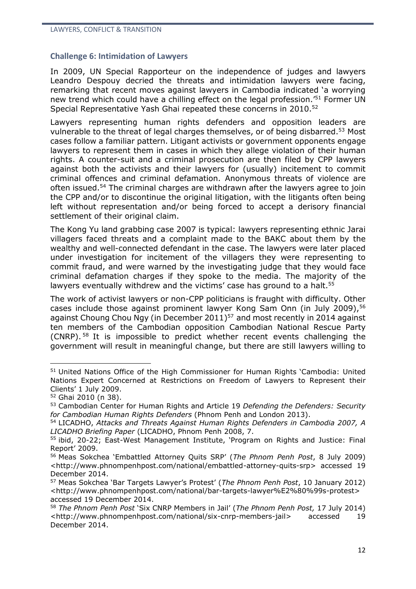#### **Challenge 6: Intimidation of Lawyers**

In 2009, UN Special Rapporteur on the independence of judges and lawyers Leandro Despouy decried the threats and intimidation lawyers were facing, remarking that recent moves against lawyers in Cambodia indicated 'a worrying new trend which could have a chilling effect on the legal profession.'<sup>51</sup> Former UN Special Representative Yash Ghai repeated these concerns in 2010.<sup>52</sup>

Lawyers representing human rights defenders and opposition leaders are vulnerable to the threat of legal charges themselves, or of being disbarred.<sup>53</sup> Most cases follow a familiar pattern. Litigant activists or government opponents engage lawyers to represent them in cases in which they allege violation of their human rights. A counter-suit and a criminal prosecution are then filed by CPP lawyers against both the activists and their lawyers for (usually) incitement to commit criminal offences and criminal defamation. Anonymous threats of violence are often issued.<sup>54</sup> The criminal charges are withdrawn after the lawyers agree to join the CPP and/or to discontinue the original litigation, with the litigants often being left without representation and/or being forced to accept a derisory financial settlement of their original claim.

The Kong Yu land grabbing case 2007 is typical: lawyers representing ethnic Jarai villagers faced threats and a complaint made to the BAKC about them by the wealthy and well-connected defendant in the case. The lawyers were later placed under investigation for incitement of the villagers they were representing to commit fraud, and were warned by the investigating judge that they would face criminal defamation charges if they spoke to the media. The majority of the lawyers eventually withdrew and the victims' case has ground to a halt.<sup>55</sup>

The work of activist lawyers or non-CPP politicians is fraught with difficulty. Other cases include those against prominent lawyer Kong Sam Onn (in July 2009),<sup>56</sup> against Choung Chou Ngy (in December 2011)<sup>57</sup> and most recently in 2014 against ten members of the Cambodian opposition Cambodian National Rescue Party (CNRP). <sup>58</sup> It is impossible to predict whether recent events challenging the government will result in meaningful change, but there are still lawyers willing to

<sup>51</sup> United Nations Office of the High Commissioner for Human Rights 'Cambodia: United Nations Expert Concerned at Restrictions on Freedom of Lawyers to Represent their Clients' 1 July 2009.

<sup>52</sup> Ghai 2010 (n 38).

<sup>53</sup> Cambodian Center for Human Rights and Article 19 *Defending the Defenders: Security for Cambodian Human Rights Defenders* (Phnom Penh and London 2013).

<sup>54</sup> LICADHO, *Attacks and Threats Against Human Rights Defenders in Cambodia 2007, A LICADHO Briefing Paper* (LICADHO, Phnom Penh 2008, 7.

<sup>55</sup> ibid, 20-22; East-West Management Institute, 'Program on Rights and Justice: Final Report' 2009.

<sup>56</sup> Meas Sokchea 'Embattled Attorney Quits SRP' (*The Phnom Penh Post*, 8 July 2009) <http://www.phnompenhpost.com/national/embattled-attorney-quits-srp> accessed 19 December 2014.

<sup>57</sup> Meas Sokchea 'Bar Targets Lawyer's Protest' (*The Phnom Penh Post*, 10 January 2012) <http://www.phnompenhpost.com/national/bar-targets-lawyer%E2%80%99s-protest> accessed 19 December 2014.

<sup>58</sup> *The Phnom Penh Post* 'Six CNRP Members in Jail' (*The Phnom Penh Post,* 17 July 2014) <http://www.phnompenhpost.com/national/six-cnrp-members-jail> accessed 19 December 2014.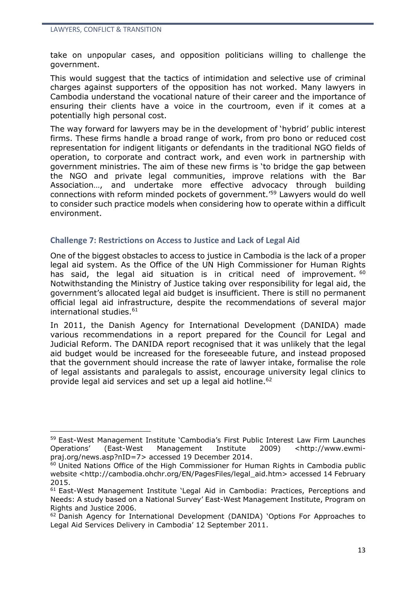<u>.</u>

take on unpopular cases, and opposition politicians willing to challenge the government.

This would suggest that the tactics of intimidation and selective use of criminal charges against supporters of the opposition has not worked. Many lawyers in Cambodia understand the vocational nature of their career and the importance of ensuring their clients have a voice in the courtroom, even if it comes at a potentially high personal cost.

The way forward for lawyers may be in the development of 'hybrid' public interest firms. These firms handle a broad range of work, from pro bono or reduced cost representation for indigent litigants or defendants in the traditional NGO fields of operation, to corporate and contract work, and even work in partnership with government ministries. The aim of these new firms is 'to bridge the gap between the NGO and private legal communities, improve relations with the Bar Association…, and undertake more effective advocacy through building connections with reform minded pockets of government.'<sup>59</sup> Lawyers would do well to consider such practice models when considering how to operate within a difficult environment.

#### **Challenge 7: Restrictions on Access to Justice and Lack of Legal Aid**

One of the biggest obstacles to access to justice in Cambodia is the lack of a proper legal aid system. As the Office of the UN High Commissioner for Human Rights has said, the legal aid situation is in critical need of improvement. <sup>60</sup> Notwithstanding the Ministry of Justice taking over responsibility for legal aid, the government's allocated legal aid budget is insufficient. There is still no permanent official legal aid infrastructure, despite the recommendations of several major international studies.<sup>61</sup>

In 2011, the Danish Agency for International Development (DANIDA) made various recommendations in a report prepared for the Council for Legal and Judicial Reform. The DANIDA report recognised that it was unlikely that the legal aid budget would be increased for the foreseeable future, and instead proposed that the government should increase the rate of lawyer intake, formalise the role of legal assistants and paralegals to assist, encourage university legal clinics to provide legal aid services and set up a legal aid hotline.<sup>62</sup>

<sup>59</sup> East-West Management Institute 'Cambodia's First Public Interest Law Firm Launches Operations' (East-West Management Institute 2009) <http://www.ewmipraj.org/news.asp?nID=7> accessed 19 December 2014.

<sup>60</sup> United Nations Office of the High Commissioner for Human Rights in Cambodia public website <http://cambodia.ohchr.org/EN/PagesFiles/legal\_aid.htm> accessed 14 February 2015.

<sup>61</sup> East-West Management Institute 'Legal Aid in Cambodia: Practices, Perceptions and Needs: A study based on a National Survey' East-West Management Institute, Program on Rights and Justice 2006.

<sup>62</sup> Danish Agency for International Development (DANIDA) 'Options For Approaches to Legal Aid Services Delivery in Cambodia' 12 September 2011.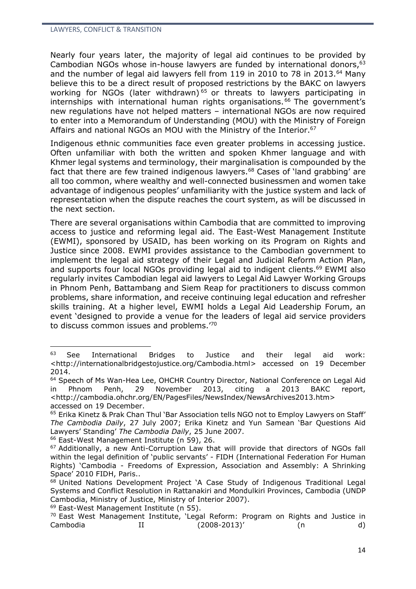Nearly four years later, the majority of legal aid continues to be provided by Cambodian NGOs whose in-house lawyers are funded by international donors,  $63$ and the number of legal aid lawyers fell from 119 in 2010 to 78 in 2013.<sup>64</sup> Many believe this to be a direct result of proposed restrictions by the BAKC on lawyers working for NGOs (later withdrawn)<sup>65</sup> or threats to lawyers participating in  $intermships$  with international human rights organisations.<sup>66</sup> The government's new regulations have not helped matters – international NGOs are now required to enter into a Memorandum of Understanding (MOU) with the Ministry of Foreign Affairs and national NGOs an MOU with the Ministry of the Interior.<sup>67</sup>

Indigenous ethnic communities face even greater problems in accessing justice. Often unfamiliar with both the written and spoken Khmer language and with Khmer legal systems and terminology, their marginalisation is compounded by the fact that there are few trained indigenous lawyers.<sup>68</sup> Cases of 'land grabbing' are all too common, where wealthy and well-connected businessmen and women take advantage of indigenous peoples' unfamiliarity with the justice system and lack of representation when the dispute reaches the court system, as will be discussed in the next section.

There are several organisations within Cambodia that are committed to improving access to justice and reforming legal aid. The East-West Management Institute (EWMI), sponsored by USAID, has been working on its Program on Rights and Justice since 2008. EWMI provides assistance to the Cambodian government to implement the legal aid strategy of their Legal and Judicial Reform Action Plan, and supports four local NGOs providing legal aid to indigent clients.<sup>69</sup> EWMI also regularly invites Cambodian legal aid lawyers to Legal Aid Lawyer Working Groups in Phnom Penh, Battambang and Siem Reap for practitioners to discuss common problems, share information, and receive continuing legal education and refresher skills training. At a higher level, EWMI holds a Legal Aid Leadership Forum, an event 'designed to provide a venue for the leaders of legal aid service providers to discuss common issues and problems.'<sup>70</sup>

<sup>63</sup> See International Bridges to Justice and their legal aid work: [<http://internationalbridgestojustice.org/Cambodia.html>](http://internationalbridgestojustice.org/Cambodia.html) accessed on 19 December 2014.

<sup>64</sup> Speech of Ms Wan-Hea Lee, OHCHR Country Director, National Conference on Legal Aid in Phnom Penh, 29 November 2013, citing a 2013 BAKC report, <http://cambodia.ohchr.org/EN/PagesFiles/NewsIndex/NewsArchives2013.htm> accessed on 19 December.

<sup>65</sup> Erika Kinetz & Prak Chan Thul 'Bar Association tells NGO not to Employ Lawyers on Staff' *The Cambodia Daily*, 27 July 2007; Erika Kinetz and Yun Samean 'Bar Questions Aid Lawyers' Standing' *The Cambodia Daily*, 25 June 2007.

<sup>66</sup> East-West Management Institute (n 59), 26.

<sup>&</sup>lt;sup>67</sup> Additionally, a new Anti-Corruption Law that will provide that directors of NGOs fall within the legal definition of 'public servants' - FIDH (International Federation For Human Rights) 'Cambodia - Freedoms of Expression, Association and Assembly: A Shrinking Space' 2010 FIDH, Paris..

<sup>&</sup>lt;sup>68</sup> United Nations Development Project 'A Case Study of Indigenous Traditional Legal Systems and Conflict Resolution in Rattanakiri and Mondulkiri Provinces, Cambodia (UNDP Cambodia, Ministry of Justice, Ministry of Interior 2007).

<sup>&</sup>lt;sup>69</sup> East-West Management Institute (n 55).

<sup>70</sup> East West Management Institute, 'Legal Reform: Program on Rights and Justice in Cambodia II (2008-2013)' (n d)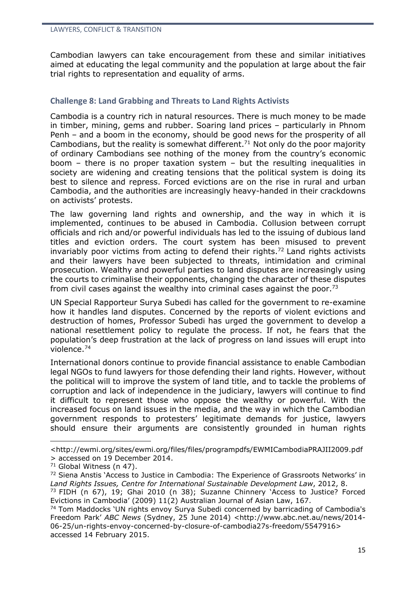Cambodian lawyers can take encouragement from these and similar initiatives aimed at educating the legal community and the population at large about the fair trial rights to representation and equality of arms.

### **Challenge 8: Land Grabbing and Threats to Land Rights Activists**

Cambodia is a country rich in natural resources. There is much money to be made in timber, mining, gems and rubber. Soaring land prices – particularly in Phnom Penh – and a boom in the economy, should be good news for the prosperity of all Cambodians, but the reality is somewhat different.<sup>71</sup> Not only do the poor majority of ordinary Cambodians see nothing of the money from the country's economic boom – there is no proper taxation system – but the resulting inequalities in society are widening and creating tensions that the political system is doing its best to silence and repress. Forced evictions are on the rise in rural and urban Cambodia, and the authorities are increasingly heavy-handed in their crackdowns on activists' protests.

The law governing land rights and ownership, and the way in which it is implemented, continues to be abused in Cambodia. Collusion between corrupt officials and rich and/or powerful individuals has led to the issuing of dubious land titles and eviction orders. The court system has been misused to prevent invariably poor victims from acting to defend their rights.<sup>72</sup> Land rights activists and their lawyers have been subjected to threats, intimidation and criminal prosecution. Wealthy and powerful parties to land disputes are increasingly using the courts to criminalise their opponents, changing the character of these disputes from civil cases against the wealthy into criminal cases against the poor.<sup>73</sup>

UN Special Rapporteur Surya Subedi has called for the government to re-examine how it handles land disputes. Concerned by the reports of violent evictions and destruction of homes, Professor Subedi has urged the government to develop a national resettlement policy to regulate the process. If not, he fears that the population's deep frustration at the lack of progress on land issues will erupt into violence.<sup>74</sup>

International donors continue to provide financial assistance to enable Cambodian legal NGOs to fund lawyers for those defending their land rights. However, without the political will to improve the system of land title, and to tackle the problems of corruption and lack of independence in the judiciary, lawyers will continue to find it difficult to represent those who oppose the wealthy or powerful. With the increased focus on land issues in the media, and the way in which the Cambodian government responds to protesters' legitimate demands for justice, lawyers should ensure their arguments are consistently grounded in human rights

[<sup>&</sup>lt;http://ewmi.org/sites/ewmi.org/files/files/programpdfs/EWMICambodiaPRAJII2009.pdf](http://ewmi.org/sites/ewmi.org/files/files/programpdfs/EWMICambodiaPRAJII2009.pdf) > accessed on 19 December 2014.

<sup>71</sup> Global Witness (n 47).

 $72$  Siena Anstis 'Access to Justice in Cambodia: The Experience of Grassroots Networks' in *Land Rights Issues, Centre for International Sustainable Development Law*, 2012, 8.

<sup>73</sup> FIDH (n 67), 19; Ghai 2010 (n 38); Suzanne Chinnery 'Access to Justice? Forced Evictions in Cambodia' (2009) 11(2) Australian Journal of Asian Law, 167.

<sup>74</sup> Tom Maddocks 'UN rights envoy Surya Subedi concerned by barricading of Cambodia's Freedom Park' *ABC News* (Sydney, 25 June 2014) <http://www.abc.net.au/news/2014- 06-25/un-rights-envoy-concerned-by-closure-of-cambodia27s-freedom/5547916> accessed 14 February 2015.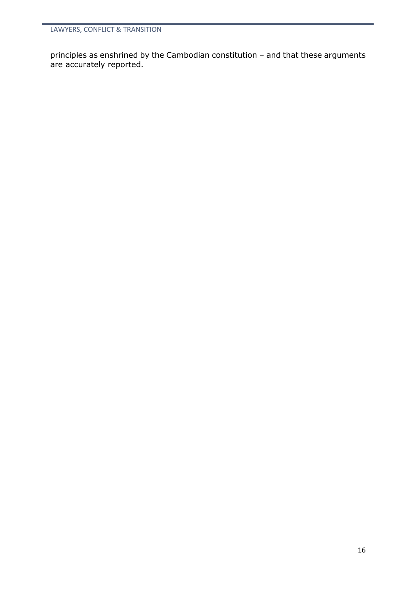principles as enshrined by the Cambodian constitution – and that these arguments are accurately reported.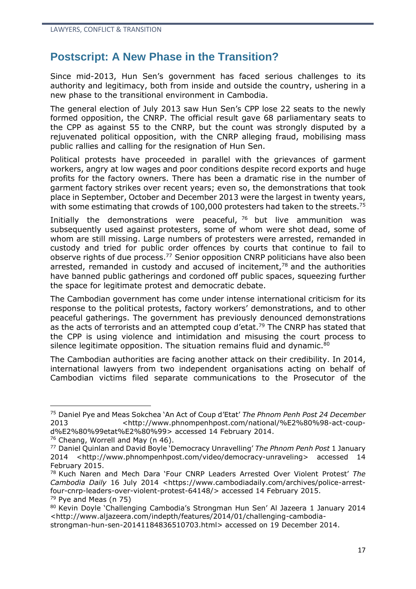## **Postscript: A New Phase in the Transition?**

Since mid-2013, Hun Sen's government has faced serious challenges to its authority and legitimacy, both from inside and outside the country, ushering in a new phase to the transitional environment in Cambodia.

The general election of July 2013 saw Hun Sen's CPP lose 22 seats to the newly formed opposition, the CNRP. The official result gave 68 parliamentary seats to the CPP as against 55 to the CNRP, but the count was strongly disputed by a rejuvenated political opposition, with the CNRP alleging fraud, mobilising mass public rallies and calling for the resignation of Hun Sen.

Political protests have proceeded in parallel with the grievances of garment workers, angry at low wages and poor conditions despite record exports and huge profits for the factory owners. There has been a dramatic rise in the number of garment factory strikes over recent years; even so, the demonstrations that took place in September, October and December 2013 were the largest in twenty years, with some estimating that crowds of 100,000 protesters had taken to the streets.<sup>75</sup>

Initially the demonstrations were peaceful,  $76$  but live ammunition was subsequently used against protesters, some of whom were shot dead, some of whom are still missing. Large numbers of protesters were arrested, remanded in custody and tried for public order offences by courts that continue to fail to observe rights of due process.<sup>77</sup> Senior opposition CNRP politicians have also been arrested, remanded in custody and accused of incitement, $78$  and the authorities have banned public gatherings and cordoned off public spaces, squeezing further the space for legitimate protest and democratic debate.

The Cambodian government has come under intense international criticism for its response to the political protests, factory workers' demonstrations, and to other peaceful gatherings. The government has previously denounced demonstrations as the acts of terrorists and an attempted coup d'etat.<sup>79</sup> The CNRP has stated that the CPP is using violence and intimidation and misusing the court process to silence legitimate opposition. The situation remains fluid and dynamic. $80$ 

The Cambodian authorities are facing another attack on their credibility. In 2014, international lawyers from two independent organisations acting on behalf of Cambodian victims filed separate communications to the Prosecutor of the

<sup>75</sup> Daniel Pye and Meas Sokchea 'An Act of Coup d'Etat' *The Phnom Penh Post 24 December* 2013 <http://www.phnompenhpost.com/national/%E2%80%98-act-coupd%E2%80%99etat%E2%80%99> accessed 14 February 2014.

<sup>&</sup>lt;sup>76</sup> Cheang, Worrell and May (n 46).

<sup>77</sup> Daniel Quinlan and David Boyle 'Democracy Unravelling' *The Phnom Penh Post* 1 January 2014 <http://www.phnompenhpost.com/video/democracy-unraveling> accessed 14 February 2015.

<sup>78</sup> Kuch Naren and Mech Dara 'Four CNRP Leaders Arrested Over Violent Protest' *The Cambodia Daily* 16 July 2014 <https://www.cambodiadaily.com/archives/police-arrestfour-cnrp-leaders-over-violent-protest-64148/> accessed 14 February 2015.  $79$  Pye and Meas (n 75)

<sup>80</sup> Kevin Doyle 'Challenging Cambodia's Strongman Hun Sen' Al Jazeera 1 January 2014 [<http://www.aljazeera.com/indepth/features/2014/01/challenging-cambodia-](http://www.aljazeera.com/indepth/features/2014/01/challenging-cambodia-strongman-hun-sen-20141184836510703.html)

[strongman-hun-sen-20141184836510703.html>](http://www.aljazeera.com/indepth/features/2014/01/challenging-cambodia-strongman-hun-sen-20141184836510703.html) accessed on 19 December 2014.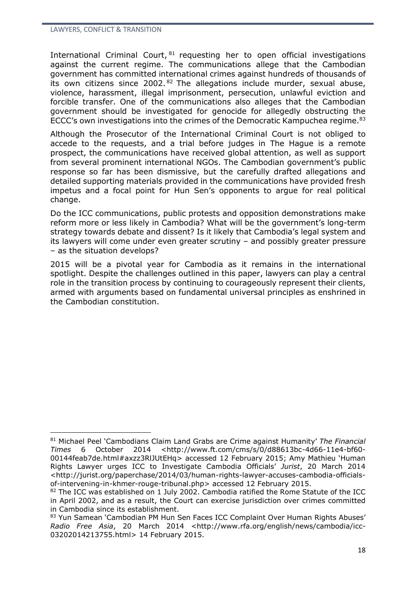International Criminal Court, 81 requesting her to open official investigations against the current regime. The communications allege that the Cambodian government has committed international crimes against hundreds of thousands of its own citizens since 2002.  $82$  The allegations include murder, sexual abuse, violence, harassment, illegal imprisonment, persecution, unlawful eviction and forcible transfer. One of the communications also alleges that the Cambodian government should be investigated for genocide for allegedly obstructing the ECCC's own investigations into the crimes of the Democratic Kampuchea regime.<sup>83</sup>

Although the Prosecutor of the International Criminal Court is not obliged to accede to the requests, and a trial before judges in The Hague is a remote prospect, the communications have received global attention, as well as support from several prominent international NGOs. The Cambodian government's public response so far has been dismissive, but the carefully drafted allegations and detailed supporting materials provided in the communications have provided fresh impetus and a focal point for Hun Sen's opponents to argue for real political change.

Do the ICC communications, public protests and opposition demonstrations make reform more or less likely in Cambodia? What will be the government's long-term strategy towards debate and dissent? Is it likely that Cambodia's legal system and its lawyers will come under even greater scrutiny – and possibly greater pressure – as the situation develops?

2015 will be a pivotal year for Cambodia as it remains in the international spotlight. Despite the challenges outlined in this paper, lawyers can play a central role in the transition process by continuing to courageously represent their clients, armed with arguments based on fundamental universal principles as enshrined in the Cambodian constitution.

<sup>81</sup> Michael Peel 'Cambodians Claim Land Grabs are Crime against Humanity' *The Financial Times* 6 October 2014 <http://www.ft.com/cms/s/0/d88613bc-4d66-11e4-bf60- 00144feab7de.html#axzz3RlJUtEHq> accessed 12 February 2015; Amy Mathieu 'Human Rights Lawyer urges ICC to Investigate Cambodia Officials' *Jurist*, 20 March 2014 <http://jurist.org/paperchase/2014/03/human-rights-lawyer-accuses-cambodia-officialsof-intervening-in-khmer-rouge-tribunal.php> accessed 12 February 2015.

<sup>82</sup> The ICC was established on 1 July 2002. Cambodia ratified the Rome Statute of the ICC in April 2002, and as a result, the Court can exercise jurisdiction over crimes committed in Cambodia since its establishment.

<sup>83</sup> Yun Samean 'Cambodian PM Hun Sen Faces ICC Complaint Over Human Rights Abuses' *Radio Free Asia*, 20 March 2014 <http://www.rfa.org/english/news/cambodia/icc-03202014213755.html> 14 February 2015.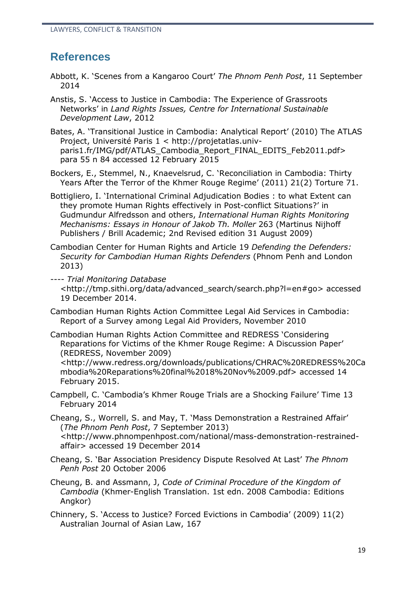## **References**

- Abbott, K. 'Scenes from a Kangaroo Court' *The Phnom Penh Post*, 11 September 2014
- Anstis, S. 'Access to Justice in Cambodia: The Experience of Grassroots Networks' in *Land Rights Issues, Centre for International Sustainable Development Law*, 2012
- Bates, A. 'Transitional Justice in Cambodia: Analytical Report' (2010) The ATLAS Project, Université Paris 1 < [http://projetatlas.univ](http://projetatlas.univ-paris1.fr/IMG/pdf/ATLAS_Cambodia_Report_FINAL_EDITS_Feb2011.pdf)[paris1.fr/IMG/pdf/ATLAS\\_Cambodia\\_Report\\_FINAL\\_EDITS\\_Feb2011.pdf>](http://projetatlas.univ-paris1.fr/IMG/pdf/ATLAS_Cambodia_Report_FINAL_EDITS_Feb2011.pdf) para 55 n 84 accessed 12 February 2015
- Bockers, E., Stemmel, N., Knaevelsrud, C. 'Reconciliation in Cambodia: Thirty Years After the Terror of the Khmer Rouge Regime' (2011) 21(2) Torture 71.
- Bottigliero, I. 'International Criminal Adjudication Bodies : to what Extent can they promote Human Rights effectively in Post-conflict Situations?' in Gudmundur Alfredsson and others, *International Human Rights Monitoring Mechanisms: Essays in Honour of Jakob Th. Moller* 263 (Martinus Nijhoff Publishers / Brill Academic; 2nd Revised edition 31 August 2009)
- Cambodian Center for Human Rights and Article 19 *Defending the Defenders: Security for Cambodian Human Rights Defenders* (Phnom Penh and London 2013)
- ---- *Trial Monitoring Database* <http://tmp.sithi.org/data/advanced\_search/search.php?l=en#go> accessed 19 December 2014.
- Cambodian Human Rights Action Committee Legal Aid Services in Cambodia: Report of a Survey among Legal Aid Providers, November 2010
- Cambodian Human Rights Action Committee and REDRESS 'Considering Reparations for Victims of the Khmer Rouge Regime: A Discussion Paper' (REDRESS, November 2009)

<http://www.redress.org/downloads/publications/CHRAC%20REDRESS%20Ca mbodia%20Reparations%20final%2018%20Nov%2009.pdf> accessed 14 February 2015.

Campbell, C. 'Cambodia's Khmer Rouge Trials are a Shocking Failure' Time 13 February 2014

Cheang, S., Worrell, S. and May, T. 'Mass Demonstration a Restrained Affair' (*The Phnom Penh Post*, 7 September 2013) <http://www.phnompenhpost.com/national/mass-demonstration-restrainedaffair> accessed 19 December 2014

- Cheang, S. 'Bar Association Presidency Dispute Resolved At Last' *The Phnom Penh Post* 20 October 2006
- Cheung, B. and Assmann, J, *Code of Criminal Procedure of the Kingdom of Cambodia* (Khmer-English Translation. 1st edn. 2008 Cambodia: Editions Angkor)

Chinnery, S. 'Access to Justice? Forced Evictions in Cambodia' (2009) 11(2) Australian Journal of Asian Law, 167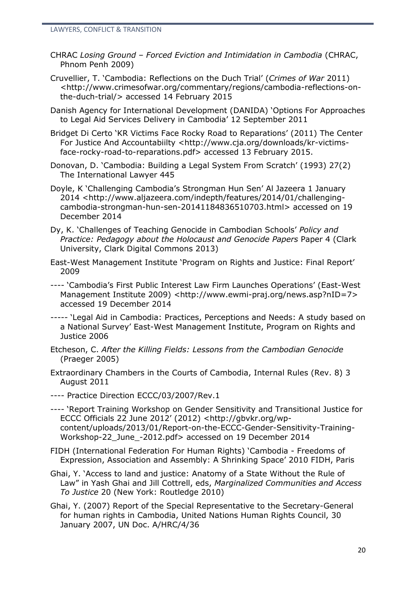- CHRAC *Losing Ground – Forced Eviction and Intimidation in Cambodia* (CHRAC, Phnom Penh 2009)
- Cruvellier, T. 'Cambodia: Reflections on the Duch Trial' (*Crimes of War* 2011) <http://www.crimesofwar.org/commentary/regions/cambodia-reflections-onthe-duch-trial/> accessed 14 February 2015
- Danish Agency for International Development (DANIDA) 'Options For Approaches to Legal Aid Services Delivery in Cambodia' 12 September 2011
- Bridget Di Certo 'KR Victims Face Rocky Road to Reparations' (2011) The Center For Justice And Accountabiilty <http://www.cia.org/downloads/kr-victims[face-rocky-road-to-reparations.pdf>](http://www.cja.org/downloads/kr-victims-face-rocky-road-to-reparations.pdf) accessed 13 February 2015.
- Donovan, D. 'Cambodia: Building a Legal System From Scratch' (1993) 27(2) The International Lawyer 445
- Doyle, K 'Challenging Cambodia's Strongman Hun Sen' Al Jazeera 1 January 2014 [<http://www.aljazeera.com/indepth/features/2014/01/challenging](http://www.aljazeera.com/indepth/features/2014/01/challenging-cambodia-strongman-hun-sen-20141184836510703.html)[cambodia-strongman-hun-sen-20141184836510703.html>](http://www.aljazeera.com/indepth/features/2014/01/challenging-cambodia-strongman-hun-sen-20141184836510703.html) accessed on 19 December 2014
- Dy, K. 'Challenges of Teaching Genocide in Cambodian Schools' *Policy and Practice: Pedagogy about the Holocaust and Genocide Papers* Paper 4 (Clark University, Clark Digital Commons 2013)
- East-West Management Institute 'Program on Rights and Justice: Final Report' 2009
- ---- 'Cambodia's First Public Interest Law Firm Launches Operations' (East-West Management Institute 2009) <http://www.ewmi-praj.org/news.asp?nID=7> accessed 19 December 2014
- *-----* 'Legal Aid in Cambodia: Practices, Perceptions and Needs: A study based on a National Survey' East-West Management Institute, Program on Rights and Justice 2006
- Etcheson, C. *After the Killing Fields: Lessons from the Cambodian Genocide* (Praeger 2005)
- Extraordinary Chambers in the Courts of Cambodia, Internal Rules (Rev. 8) 3 August 2011
- ---- Practice Direction ECCC/03/2007/Rev.1
- ---- 'Report Training Workshop on Gender Sensitivity and Transitional Justice for ECCC Officials 22 June 2012' (2012) [<http://gbvkr.org/wp](http://gbvkr.org/wp-content/uploads/2013/01/Report-on-the-ECCC-Gender-Sensitivity-Training-Workshop-22_June_-2012.pdf)[content/uploads/2013/01/Report-on-the-ECCC-Gender-Sensitivity-Training-](http://gbvkr.org/wp-content/uploads/2013/01/Report-on-the-ECCC-Gender-Sensitivity-Training-Workshop-22_June_-2012.pdf)[Workshop-22\\_June\\_-2012.pdf>](http://gbvkr.org/wp-content/uploads/2013/01/Report-on-the-ECCC-Gender-Sensitivity-Training-Workshop-22_June_-2012.pdf) accessed on 19 December 2014
- FIDH (International Federation For Human Rights) 'Cambodia Freedoms of Expression, Association and Assembly: A Shrinking Space' 2010 FIDH, Paris
- Ghai, Y. 'Access to land and justice: Anatomy of a State Without the Rule of Law" in Yash Ghai and Jill Cottrell, eds, *Marginalized Communities and Access To Justice* 20 (New York: Routledge 2010)
- Ghai, Y. (2007) Report of the Special Representative to the Secretary-General for human rights in Cambodia, United Nations Human Rights Council, 30 January 2007, UN Doc. A/HRC/4/36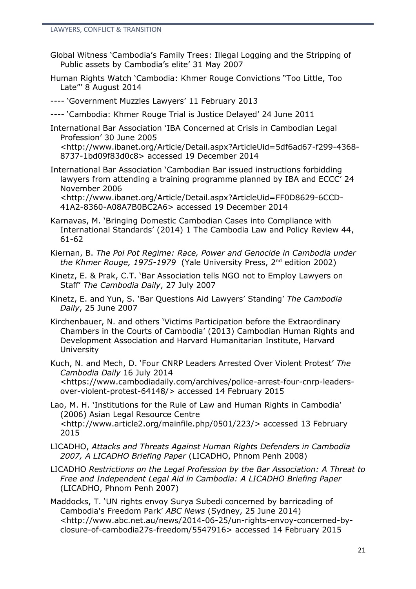- Global Witness 'Cambodia's Family Trees: Illegal Logging and the Stripping of Public assets by Cambodia's elite' 31 May 2007
- Human Rights Watch 'Cambodia: Khmer Rouge Convictions "Too Little, Too Late"' 8 August 2014

---- 'Government Muzzles Lawyers' 11 February 2013

---- 'Cambodia: Khmer Rouge Trial is Justice Delayed' 24 June 2011

International Bar Association 'IBA Concerned at Crisis in Cambodian Legal Profession' 30 June 2005

<http://www.ibanet.org/Article/Detail.aspx?ArticleUid=5df6ad67-f299-4368- 8737-1bd09f83d0c8> accessed 19 December 2014

International Bar Association 'Cambodian Bar issued instructions forbidding lawyers from attending a training programme planned by IBA and ECCC' 24 November 2006

<http://www.ibanet.org/Article/Detail.aspx?ArticleUid=FF0D8629-6CCD-41A2-8360-A08A7B0BC2A6> accessed 19 December 2014

- Karnavas, M. 'Bringing Domestic Cambodian Cases into Compliance with International Standards' (2014) 1 The Cambodia Law and Policy Review 44, 61-62
- Kiernan, B. *The Pol Pot Regime: Race, Power and Genocide in Cambodia under the Khmer Rouge, 1975-1979* (Yale University Press, 2 nd edition 2002)
- Kinetz, E. & Prak, C.T. 'Bar Association tells NGO not to Employ Lawyers on Staff' *The Cambodia Daily*, 27 July 2007
- Kinetz, E. and Yun, S. 'Bar Questions Aid Lawyers' Standing' *The Cambodia Daily*, 25 June 2007
- Kirchenbauer, N. and others 'Victims Participation before the Extraordinary Chambers in the Courts of Cambodia' (2013) Cambodian Human Rights and Development Association and Harvard Humanitarian Institute, Harvard University
- Kuch, N. and Mech, D. 'Four CNRP Leaders Arrested Over Violent Protest' *The Cambodia Daily* 16 July 2014 <https://www.cambodiadaily.com/archives/police-arrest-four-cnrp-leadersover-violent-protest-64148/> accessed 14 February 2015
- Lao, M. H. 'Institutions for the Rule of Law and Human Rights in Cambodia' (2006) Asian Legal Resource Centre [<http://www.article2.org/mainfile.php/0501/223/>](http://www.article2.org/mainfile.php/0501/223/) accessed 13 February 2015
- LICADHO, *Attacks and Threats Against Human Rights Defenders in Cambodia 2007, A LICADHO Briefing Paper* (LICADHO, Phnom Penh 2008)
- LICADHO *Restrictions on the Legal Profession by the Bar Association: A Threat to Free and Independent Legal Aid in Cambodia: A LICADHO Briefing Paper* (LICADHO, Phnom Penh 2007)
- Maddocks, T. 'UN rights envoy Surya Subedi concerned by barricading of Cambodia's Freedom Park' *ABC News* (Sydney, 25 June 2014) <http://www.abc.net.au/news/2014-06-25/un-rights-envoy-concerned-byclosure-of-cambodia27s-freedom/5547916> accessed 14 February 2015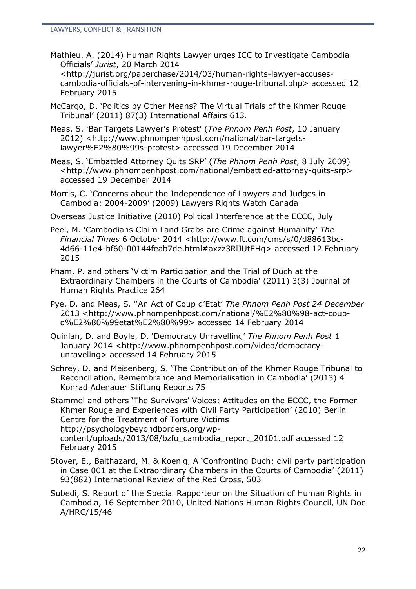- Mathieu, A. (2014) Human Rights Lawyer urges ICC to Investigate Cambodia Officials' *Jurist*, 20 March 2014 <http://jurist.org/paperchase/2014/03/human-rights-lawyer-accusescambodia-officials-of-intervening-in-khmer-rouge-tribunal.php> accessed 12 February 2015
- McCargo, D. 'Politics by Other Means? The Virtual Trials of the Khmer Rouge Tribunal' (2011) 87(3) International Affairs 613.
- Meas, S. 'Bar Targets Lawyer's Protest' (*The Phnom Penh Post*, 10 January 2012) <http://www.phnompenhpost.com/national/bar-targetslawyer%E2%80%99s-protest> accessed 19 December 2014
- Meas, S. 'Embattled Attorney Quits SRP' (*The Phnom Penh Post*, 8 July 2009) <http://www.phnompenhpost.com/national/embattled-attorney-quits-srp> accessed 19 December 2014

Morris, C. 'Concerns about the Independence of Lawyers and Judges in Cambodia: 2004-2009' (2009) Lawyers Rights Watch Canada

Overseas Justice Initiative (2010) Political Interference at the ECCC, July

- Peel, M. 'Cambodians Claim Land Grabs are Crime against Humanity' *The Financial Times* 6 October 2014 <http://www.ft.com/cms/s/0/d88613bc-4d66-11e4-bf60-00144feab7de.html#axzz3RlJUtEHq> accessed 12 February 2015
- Pham, P. and others 'Victim Participation and the Trial of Duch at the Extraordinary Chambers in the Courts of Cambodia' (2011) 3(3) Journal of Human Rights Practice 264
- Pye, D. and Meas, S. ''An Act of Coup d'Etat' *The Phnom Penh Post 24 December* 2013 <http://www.phnompenhpost.com/national/%E2%80%98-act-coupd%E2%80%99etat%E2%80%99> accessed 14 February 2014

Quinlan, D. and Boyle, D. 'Democracy Unravelling' *The Phnom Penh Post* 1 January 2014 <http://www.phnompenhpost.com/video/democracyunraveling> accessed 14 February 2015

Schrey, D. and Meisenberg, S. 'The Contribution of the Khmer Rouge Tribunal to Reconciliation, Remembrance and Memorialisation in Cambodia' (2013) 4 Konrad Adenauer Stiftung Reports 75

Stammel and others 'The Survivors' Voices: Attitudes on the ECCC, the Former Khmer Rouge and Experiences with Civil Party Participation' (2010) Berlin Centre for the Treatment of Torture Victims [http://psychologybeyondborders.org/wp](http://psychologybeyondborders.org/wp-content/uploads/2013/08/bzfo_cambodia_report_20101.pdf)[content/uploads/2013/08/bzfo\\_cambodia\\_report\\_20101.pdf](http://psychologybeyondborders.org/wp-content/uploads/2013/08/bzfo_cambodia_report_20101.pdf) accessed 12 February 2015

- Stover, E., Balthazard, M. & Koenig, A 'Confronting Duch: civil party participation in Case 001 at the Extraordinary Chambers in the Courts of Cambodia' (2011) 93(882) International Review of the Red Cross, 503
- Subedi, S. Report of the Special Rapporteur on the Situation of Human Rights in Cambodia, 16 September 2010, United Nations Human Rights Council, UN Doc A/HRC/15/46